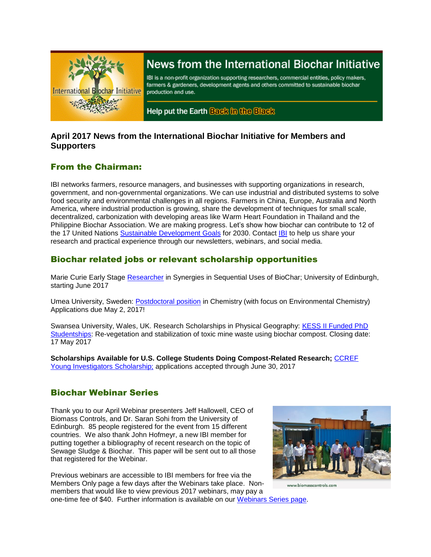

# News from the International Biochar Initiative

IBI is a non-profit organization supporting researchers, commercial entities, policy makers, farmers & gardeners, development agents and others committed to sustainable biochar production and use.

Help put the Earth Back in the Black

### **April 2017 News from the International Biochar Initiative for Members and Supporters**

# From the Chairman:

IBI networks farmers, resource managers, and businesses with supporting organizations in research, government, and non-governmental organizations. We can use industrial and distributed systems to solve food security and environmental challenges in all regions. Farmers in China, Europe, Australia and North America, where industrial production is growing, share the development of techniques for small scale, decentralized, carbonization with developing areas like Warm Heart Foundation in Thailand and the Philippine Biochar Association. We are making progress. Let's show how biochar can contribute to 12 of the 17 United Nations [Sustainable Development](http://www.un.org/sustainabledevelopment/sustainable-development-goals/) Goals for 2030. Contact [IBI](mailto:info@biochar-international.org) to help us share your research and practical experience through our newsletters, webinars, and social media.

# Biochar related jobs or relevant scholarship opportunities

Marie Curie Early Stage [Researcher](http://www.jobs.ac.uk/job/AXV415/marie-curie-early-stage-researcher-in-synergies-in-seqential-biochar/) in Synergies in Sequential Uses of BioChar; University of Edinburgh, starting June 2017

Umea University, Sweden: [Postdoctoral position](http://jobs.sciencecareers.org/job/448434/postdoctoral-position-in-chemistry-with-focus-on-environmental-chemistry-/) in Chemistry (with focus on Environmental Chemistry) Applications due May 2, 2017!

Swansea University, Wales, UK. Research Scholarships in Physical Geography: [KESS II Funded PhD](http://www.swansea.ac.uk/postgraduate/scholarships/research/physical-geography-kess-phd-revegetation.php)  [Studentships:](http://www.swansea.ac.uk/postgraduate/scholarships/research/physical-geography-kess-phd-revegetation.php) Re-vegetation and stabilization of toxic mine waste using biochar compost. Closing date: 17 May 2017

**Scholarships Available for U.S. College Students Doing Compost-Related Research;** [CCREF](http://compostfoundation.org/Education/Young_Investigators)  [Young Investigators Scholarship;](http://compostfoundation.org/Education/Young_Investigators) applications accepted through June 30, 2017

# Biochar Webinar Series

Thank you to our April Webinar presenters Jeff Hallowell, CEO of Biomass Controls, and Dr. Saran Sohi from the University of Edinburgh. 85 people registered for the event from 15 different countries. We also thank John Hofmeyr, a new IBI member for putting together a bibliography of recent research on the topic of Sewage Sludge & Biochar. This paper will be sent out to all those that registered for the Webinar.

Previous webinars are accessible to IBI members for free via the Members Only page a few days after the Webinars take place. Nonmembers that would like to view previous 2017 webinars, may pay a one-time fee of \$40. Further information is available on our [Webinars Series page.](http://biochar-international.org/webinar_series)

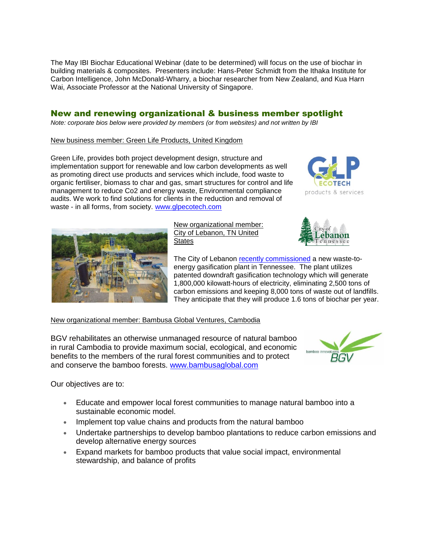The May IBI Biochar Educational Webinar (date to be determined) will focus on the use of biochar in building materials & composites. Presenters include: Hans-Peter Schmidt from the Ithaka Institute for Carbon Intelligence, John McDonald-Wharry, a biochar researcher from New Zealand, and Kua Harn Wai, Associate Professor at the National University of Singapore.

### New and renewing organizational & business member spotlight

*Note: corporate bios below were provided by members (or from websites) and not written by IBI*

New business member: Green Life Products, United Kingdom

Green Life, provides both project development design, structure and implementation support for renewable and low carbon developments as well as promoting direct use products and services which include, food waste to organic fertiliser, biomass to char and gas, smart structures for control and life management to reduce Co2 and energy waste, Environmental compliance audits. We work to find solutions for clients in the reduction and removal of waste - in all forms, from society. [www.glpecotech.com](http://www.glpecotech.com/)





New organizational member: City of Lebanon, TN United **States** 



The City of Lebanon [recently commissioned](http://www.themunicipal.com/2016/10/first-steps-toward-zero-landfill-will-produce-clean-energy-in-tennessee/) a new waste-toenergy gasification plant in Tennessee. The plant utilizes patented downdraft gasification technology which will generate 1,800,000 kilowatt-hours of electricity, eliminating 2,500 tons of carbon emissions and keeping 8,000 tons of waste out of landfills. They anticipate that they will produce 1.6 tons of biochar per year.

#### New organizational member: Bambusa Global Ventures, Cambodia

BGV rehabilitates an otherwise unmanaged resource of natural bamboo in rural Cambodia to provide maximum social, ecological, and economic benefits to the members of the rural forest communities and to protect and conserve the bamboo forests. [www.bambusaglobal.com](http://www.bambusaglobal.com/)



Our objectives are to:

- Educate and empower local forest communities to manage natural bamboo into a sustainable economic model.
- Implement top value chains and products from the natural bamboo
- Undertake partnerships to develop bamboo plantations to reduce carbon emissions and develop alternative energy sources
- Expand markets for bamboo products that value social impact, environmental stewardship, and balance of profits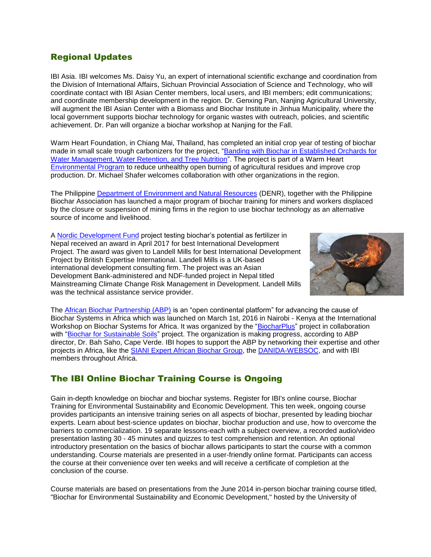# Regional Updates

IBI Asia. IBI welcomes Ms. Daisy Yu, an expert of international scientific exchange and coordination from the Division of International Affairs, Sichuan Provincial Association of Science and Technology, who will coordinate contact with IBI Asian Center members, local users, and IBI members; edit communications; and coordinate membership development in the region. Dr. Genxing Pan, Nanjing Agricultural University, will augment the IBI Asian Center with a Biomass and Biochar Institute in Jinhua Municipality, where the local government supports biochar technology for organic wastes with outreach, policies, and scientific achievement. Dr. Pan will organize a biochar workshop at Nanjing for the Fall.

Warm Heart Foundation, in Chiang Mai, Thailand, has completed an initial crop year of testing of biochar made in small scale trough carbonizers for the project, ["Banding with Biochar in Established Orchards for](http://www.biochar-international.org/node/8814)  [Water Management, Water Retention, and Tree Nutrition"](http://www.biochar-international.org/node/8814). The project is part of a Warm Heart [Environmental Program](http://warmheartworldwide.org/biochar-research-environment/) to reduce unhealthy open burning of agricultural residues and improve crop production. Dr. Michael Shafer welcomes collaboration with other organizations in the region.

The Philippine [Department of Environment and Natural Resources](https://caraga.denr.gov.ph/index.php/96-region-news-items/latest-news/641-sec-gina-inaugurates-biochar-project-in-surigao) (DENR), together with the Philippine Biochar Association has launched a major program of biochar training for miners and workers displaced by the closure or suspension of mining firms in the region to use biochar technology as an alternative source of income and livelihood.

A [Nordic Development Fund](https://www.ndf.fi/news/biochar-project-wins-best-international-development-project) project testing biochar's potential as fertilizer in Nepal received an award in April 2017 for best International Development Project. The award was given to Landell Mills for best International Development Project by British Expertise International. Landell Mills is a UK-based international development consulting firm. The project was an Asian Development Bank-administered and NDF-funded project in Nepal titled Mainstreaming Climate Change Risk Management in Development. Landell Mills was the technical assistance service provider.



The [African Biochar Partnership \(ABP\)](http://www.ecreee.org/news/launch-africa-biochar-partnership-0) is an "open continental platform" for advancing the cause of Biochar Systems in Africa which was launched on March 1st, 2016 in Nairobi - Kenya at the International Workshop on Biochar Systems for Africa. It was organized by the ["BiocharPlus"](https://sites.google.com/site/biocharplusproject/home) project in collaboration with ["Biochar for Sustainable Soils"](http://biochar.international/) project. The organization is making progress, according to ABP director, Dr. Bah Saho, Cape Verde. IBI hopes to support the ABP by networking their expertise and other projects in Africa, like the [SIANI Expert African Biochar Group,](http://www.siani.se/expert-groups/african-biochar) the [DANIDA-WEBSOC,](http://websoc.net/) and with IBI members throughout Africa.

# The IBI Online Biochar Training Course is Ongoing

Gain in-depth knowledge on biochar and biochar systems. Register for IBI's online course, Biochar Training for Environmental Sustainability and Economic Development. This ten week, ongoing course provides participants an intensive training series on all aspects of biochar, presented by leading biochar experts. Learn about best-science updates on biochar, biochar production and use, how to overcome the barriers to commercialization. 19 separate lessons-each with a subject overview, a recorded audio/video presentation lasting 30 - 45 minutes and quizzes to test comprehension and retention. An optional introductory presentation on the basics of biochar allows participants to start the course with a common understanding. Course materials are presented in a user-friendly online format. Participants can access the course at their convenience over ten weeks and will receive a certificate of completion at the conclusion of the course.

Course materials are based on presentations from the June 2014 in-person biochar training course titled, "Biochar for Environmental Sustainability and Economic Development," hosted by the University of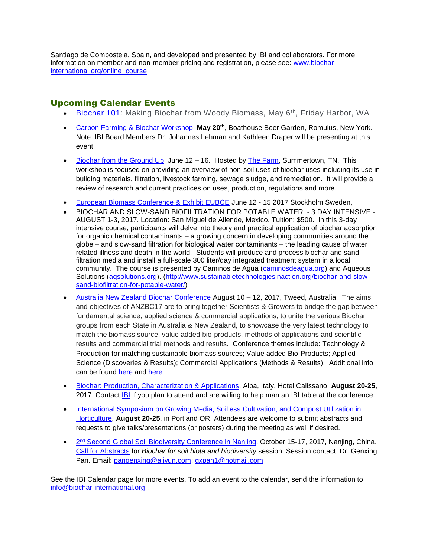Santiago de Compostela, Spain, and developed and presented by IBI and collaborators. For more information on member and non-member pricing and registration, please see: [www.biochar](http://www.biochar-international.org/online_course)[international.org/online\\_course](http://www.biochar-international.org/online_course)

### Upcoming Calendar Events

- [Biochar 101:](https://www.eventbrite.com/e/biochar-101-making-biochar-from-woody-biomass-tickets-30882278727) Making Biochar from Woody Biomass, May 6<sup>th</sup>, Friday Harbor, WA
- [Carbon Farming & Biochar Workshop,](http://www.brownpapertickets.com/event/2899484) **May 20th**, Boathouse Beer Garden, Romulus, New York. Note: IBI Board Members Dr. Johannes Lehman and Kathleen Draper will be presenting at this event.
- [Biochar from the Ground Up,](http://www.thefarm.org/evrplus_registration/?action=evrplusegister&event_id=43) June  $12 16$ . Hosted by [The Farm,](http://thefarmcommunity.com/) Summertown, TN. This workshop is focused on providing an overview of non-soil uses of biochar uses including its use in building materials, filtration, livestock farming, sewage sludge, and remediation. It will provide a review of research and current practices on uses, production, regulations and more.
- [European Biomass Conference & Exhibit EUBCE](http://www.eubce.com/exhibition/list-of-exhibitors/dorset-green-machines-bv.html) June 12 15 2017 Stockholm Sweden,
- BIOCHAR AND SLOW-SAND BIOFILTRATION FOR POTABLE WATER 3 DAY INTENSIVE AUGUST 1-3, 2017. Location: San Miguel de Allende, Mexico. Tuition: \$500. In this 3-day intensive course, participants will delve into theory and practical application of biochar adsorption for organic chemical contaminants – a growing concern in developing communities around the globe – and slow-sand filtration for biological water contaminants – the leading cause of water related illness and death in the world. Students will produce and process biochar and sand filtration media and install a full-scale 300 liter/day integrated treatment system in a local community. The course is presented by Caminos de Agua [\(caminosdeagua.org\)](http://caminosdeagua.org/) and Aqueous Solutions [\(aqsolutions.org\)](http://aqsolutions.org/). [\(http://www.sustainabletechnologiesinaction.org/biochar-and-slow](http://www.sustainabletechnologiesinaction.org/biochar-and-slow-sand-biofiltration-for-potable-water/)[sand-biofiltration-for-potable-water/\)](http://www.sustainabletechnologiesinaction.org/biochar-and-slow-sand-biofiltration-for-potable-water/)
- [Australia New Zealand Biochar Conference](https://anzbc.org.au/) August 10 12, 2017, Tweed, Australia. The aims and objectives of ANZBC17 are to bring together Scientists & Growers to bridge the gap between fundamental science, applied science & commercial applications, to unite the various Biochar groups from each State in Australia & New Zealand, to showcase the very latest technology to match the biomass source, value added bio-products, methods of applications and scientific results and commercial trial methods and results. Conference themes include: Technology & Production for matching sustainable biomass sources; Value added Bio-Products; Applied Science (Discoveries & Results); Commercial Applications (Methods & Results). Additional info can be found [here](https://www.facebook.com/biocharfest/) and [here](https://www.facebook.com/events/945697935562027/)
- [Biochar: Production, Characterization & Applications,](http://www.engconf.org/biochar-production-characterization-and-applications/) Alba, Italy, Hotel Calissano, **August 20-25,** 2017. Contact **IBI** if you plan to attend and are willing to help man an [IBI](mailto:info@biochar-international.org) table at the conference.
- [International Symposium on Growing Media, Soilless](http://newbeginningsmanagement.com/compsubsci2017/) Cultivation, and Compost Utilization in [Horticulture,](http://newbeginningsmanagement.com/compsubsci2017/) **August 20-25**, in Portland OR. Attendees are welcome to submit abstracts and requests to give talks/presentations (or posters) during the meeting as well if desired.
- <sup>o</sup> 2<sup>nd</sup> [Second Global Soil Biodiversity Conference in Nanjing,](http://gsbc2.csp.escience.cn/dct/page/1) October 15-17, 2017, Nanjing, China. [Call for Abstracts](http://gsbc2.csp.escience.cn/dct/page/70022) for *Biochar for soil biota and biodiversity* session. Session contact: Dr. Genxing Pan. Email: [pangenxing@aliyun.com;](mailto:pangenxing@aliyun.com) [gxpan1@hotmail.com](mailto:gxpan1@hotmail.com)

See the IBI Calendar page for more events. To add an event to the calendar, send the information to [info@biochar-international.org](mailto:info@biochar-international.org) .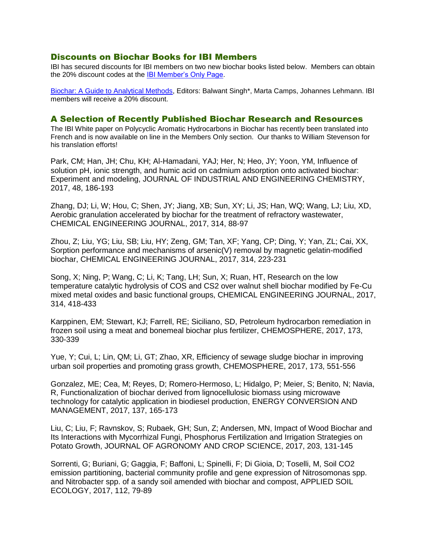#### Discounts on Biochar Books for IBI Members

IBI has secured discounts for IBI members on two new biochar books listed below. Members can obtain the 20% discount codes at the [IBI Member's Only Page.](https://ibi.memberclicks.net/member-landing-page)

[Biochar: A Guide to Analytical Methods,](https://www.crcpress.com/Biochar-A-Guide-to-Analytical-Methods/Singh-Arbestain-Lehmann/p/book/9781498765534?utm_source=banner_ad&utm_medium=banner&utm_campaign=170301235%0d) Editors: Balwant Singh\*, Marta Camps, Johannes Lehmann. IBI members will receive a 20% discount.

#### A Selection of Recently Published Biochar Research and Resources

The IBI White paper on Polycyclic Aromatic Hydrocarbons in Biochar has recently been translated into French and is now available on line in the Members Only section. Our thanks to William Stevenson for his translation efforts!

Park, CM; Han, JH; Chu, KH; Al-Hamadani, YAJ; Her, N; Heo, JY; Yoon, YM, Influence of solution pH, ionic strength, and humic acid on cadmium adsorption onto activated biochar: Experiment and modeling, JOURNAL OF INDUSTRIAL AND ENGINEERING CHEMISTRY, 2017, 48, 186-193

Zhang, DJ; Li, W; Hou, C; Shen, JY; Jiang, XB; Sun, XY; Li, JS; Han, WQ; Wang, LJ; Liu, XD, Aerobic granulation accelerated by biochar for the treatment of refractory wastewater, CHEMICAL ENGINEERING JOURNAL, 2017, 314, 88-97

Zhou, Z; Liu, YG; Liu, SB; Liu, HY; Zeng, GM; Tan, XF; Yang, CP; Ding, Y; Yan, ZL; Cai, XX, Sorption performance and mechanisms of arsenic(V) removal by magnetic gelatin-modified biochar, CHEMICAL ENGINEERING JOURNAL, 2017, 314, 223-231

Song, X; Ning, P; Wang, C; Li, K; Tang, LH; Sun, X; Ruan, HT, Research on the low temperature catalytic hydrolysis of COS and CS2 over walnut shell biochar modified by Fe-Cu mixed metal oxides and basic functional groups, CHEMICAL ENGINEERING JOURNAL, 2017, 314, 418-433

Karppinen, EM; Stewart, KJ; Farrell, RE; Siciliano, SD, Petroleum hydrocarbon remediation in frozen soil using a meat and bonemeal biochar plus fertilizer, CHEMOSPHERE, 2017, 173, 330-339

Yue, Y; Cui, L; Lin, QM; Li, GT; Zhao, XR, Efficiency of sewage sludge biochar in improving urban soil properties and promoting grass growth, CHEMOSPHERE, 2017, 173, 551-556

Gonzalez, ME; Cea, M; Reyes, D; Romero-Hermoso, L; Hidalgo, P; Meier, S; Benito, N; Navia, R, Functionalization of biochar derived from lignocellulosic biomass using microwave technology for catalytic application in biodiesel production, ENERGY CONVERSION AND MANAGEMENT, 2017, 137, 165-173

Liu, C; Liu, F; Ravnskov, S; Rubaek, GH; Sun, Z; Andersen, MN, Impact of Wood Biochar and Its Interactions with Mycorrhizal Fungi, Phosphorus Fertilization and Irrigation Strategies on Potato Growth, JOURNAL OF AGRONOMY AND CROP SCIENCE, 2017, 203, 131-145

Sorrenti, G; Buriani, G; Gaggia, F; Baffoni, L; Spinelli, F; Di Gioia, D; Toselli, M, Soil CO2 emission partitioning, bacterial community profile and gene expression of Nitrosomonas spp. and Nitrobacter spp. of a sandy soil amended with biochar and compost, APPLIED SOIL ECOLOGY, 2017, 112, 79-89